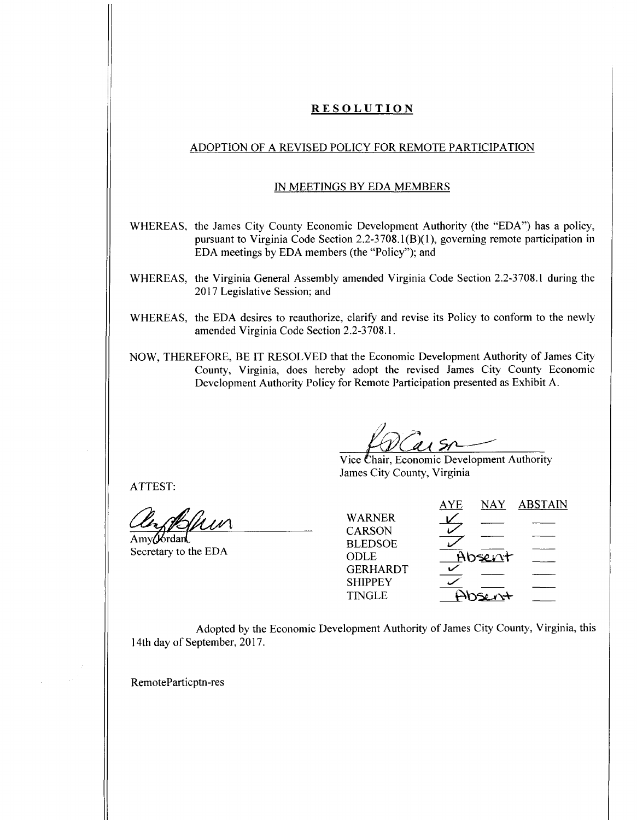# **RESOLUTION**

## ADOPTION OF A REVISED POLICY FOR REMOTE PARTICIPATION

## IN MEETINGS BY EDA MEMBERS

- WHEREAS, the James City County Economic Development Authority (the "EDA") has a policy, pursuant to Virginia Code Section 2.2-3708.1(B)(1), governing remote participation in EDA meetings by EDA members (the "Policy"); and
- WHEREAS, the Virginia General Assembly amended Virginia Code Section 2.2-3708.1 during the 2017 Legislative Session; and
- WHEREAS, the EDA desires to reauthorize, clarify and revise its Policy to conform to the newly amended Virginia Code Section 2.2-3708.1.
- NOW, THEREFORE, BE IT RESOLVED that the Economic Development Authority of James City County, Virginia, does hereby adopt the revised James City County Economic Development Authority Policy for Remote Participation presented as Exhibit A.

Vice Chair, Economic Development Authority James City County, Virginia

ATTEST:

Amy**(J**6rdan Secretary to the EDA

|                 | <b>AYE</b> | <b>NAY</b> | <b>ABSTAIN</b> |
|-----------------|------------|------------|----------------|
| <b>WARNER</b>   |            |            |                |
| <b>CARSON</b>   |            |            |                |
| <b>BLEDSOE</b>  |            |            |                |
| ODLE            |            | Absent     |                |
| <b>GERHARDT</b> |            |            |                |
| <b>SHIPPEY</b>  |            |            |                |
| <b>TINGLE</b>   |            | so n+      |                |
|                 |            |            |                |

Adopted by the Economic Development Authority of James City County, Virginia, this 14th day of September, 2017.

RemoteParticptn-res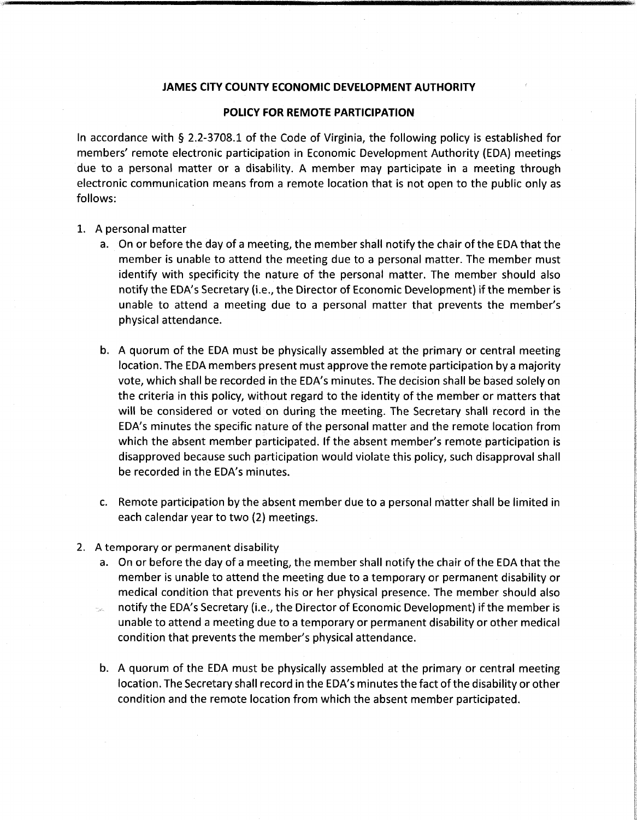#### **JAMES CITY COUNTY ECONOMIC DEVELOPMENT AUTHORITY**

#### **POLICY FOR REMOTE PARTICIPATION**

In accordance with § 2.2-3708.1 of the Code of Virginia, the following policy is established for members' remote electronic participation in Economic Development Authority (EDA) meetings due to <sup>a</sup> personal matter or <sup>a</sup> disability. A member may participate in <sup>a</sup> meeting through electronic communication means from <sup>a</sup> remote location that is not open to the public only as follows:

- 1. A personal matter
	- a. On or before the day of <sup>a</sup> meeting, the member shall notify the chair of the EDA that the member is unable to attend the meeting due to a personal matter. The member must identify with specificity the nature of the personal matter. The member should also notify the EDA's Secretary (i.e., the Director of Economic Development) if the member is unable to attend <sup>a</sup> meeting due to a personal matter that prevents the member's physical attendance.
	- b. A quorum of the EDA must be physically assembled at the primary or central meeting location. The EDA members present must approve the remote participation by a majority vote, which shall be recorded in the EDA's minutes. The decision shall be based solely on the criteria in this policy, without regard to the identity of the member or matters that will be considered or voted on during the meeting. The Secretary shall record in the EDA's minutes the specific nature of the personal matter and the remote location from which the absent member participated. If the absent member's remote participation is disapproved because such participation would violate this policy, such disapproval shall be recorded in the EDA's minutes.
	- c. Remote participation by the absent member due to a personal matter shall be limited in each calendar year to two (2) meetings.
- 2. A temporary or permanent disability
	- a. On or before the day of <sup>a</sup> meeting, the member shall notify the chair of the EDA that the member is unable to attend the meeting due to a temporary or permanent disability or medical condition that prevents his or her physical presence. The member should also notify the EDA's Secretary (i.e., the Director of Economic Development) if the member is unable to attend <sup>a</sup> meeting due to a temporary or permanent disability or other medical condition that prevents the member's physical attendance.
	- b. A quorum of the EDA must be physically assembled at the primary or central meeting location. The Secretary shall record in the EDA's minutes the fact of the disability or other condition and the remote location from which the absent member participated.